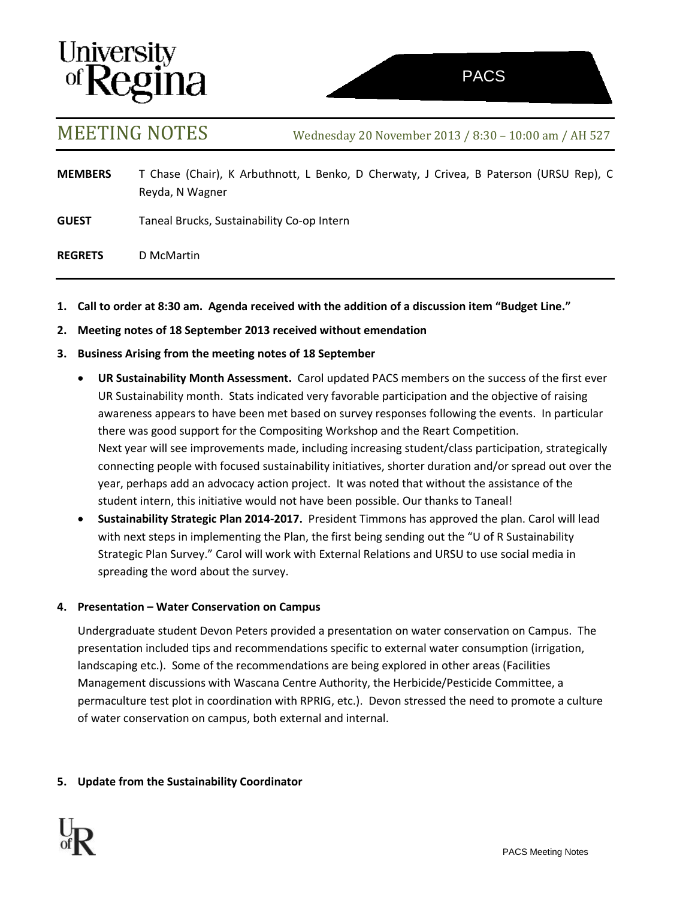# **University<br>of Regina**

MEETING NOTES Wednesday <sup>20</sup> November <sup>2013</sup> / 8:30 – 10:00 am / AH <sup>527</sup>

- **MEMBERS** T Chase (Chair), K Arbuthnott, L Benko, D Cherwaty, J Crivea, B Paterson (URSU Rep), C Reyda, N Wagner
- **GUEST** Taneal Brucks, Sustainability Co-op Intern
- **REGRETS** D McMartin
- **1. Call to order at 8:30 am. Agenda received with the addition of a discussion item "Budget Line."**
- **2. Meeting notes of 18 September 2013 received without emendation**
- **3. Business Arising from the meeting notes of 18 September**
	- **UR Sustainability Month Assessment.** Carol updated PACS members on the success of the first ever UR Sustainability month. Stats indicated very favorable participation and the objective of raising awareness appears to have been met based on survey responses following the events. In particular there was good support for the Compositing Workshop and the Reart Competition. Next year will see improvements made, including increasing student/class participation, strategically connecting people with focused sustainability initiatives, shorter duration and/or spread out over the year, perhaps add an advocacy action project. It was noted that without the assistance of the student intern, this initiative would not have been possible. Our thanks to Taneal!
	- **Sustainability Strategic Plan 2014-2017.** President Timmons has approved the plan. Carol will lead with next steps in implementing the Plan, the first being sending out the "U of R Sustainability Strategic Plan Survey." Carol will work with External Relations and URSU to use social media in spreading the word about the survey.

# **4. Presentation – Water Conservation on Campus**

Undergraduate student Devon Peters provided a presentation on water conservation on Campus. The presentation included tips and recommendations specific to external water consumption (irrigation, landscaping etc.). Some of the recommendations are being explored in other areas (Facilities Management discussions with Wascana Centre Authority, the Herbicide/Pesticide Committee, a permaculture test plot in coordination with RPRIG, etc.). Devon stressed the need to promote a culture of water conservation on campus, both external and internal.

# **5. Update from the Sustainability Coordinator**